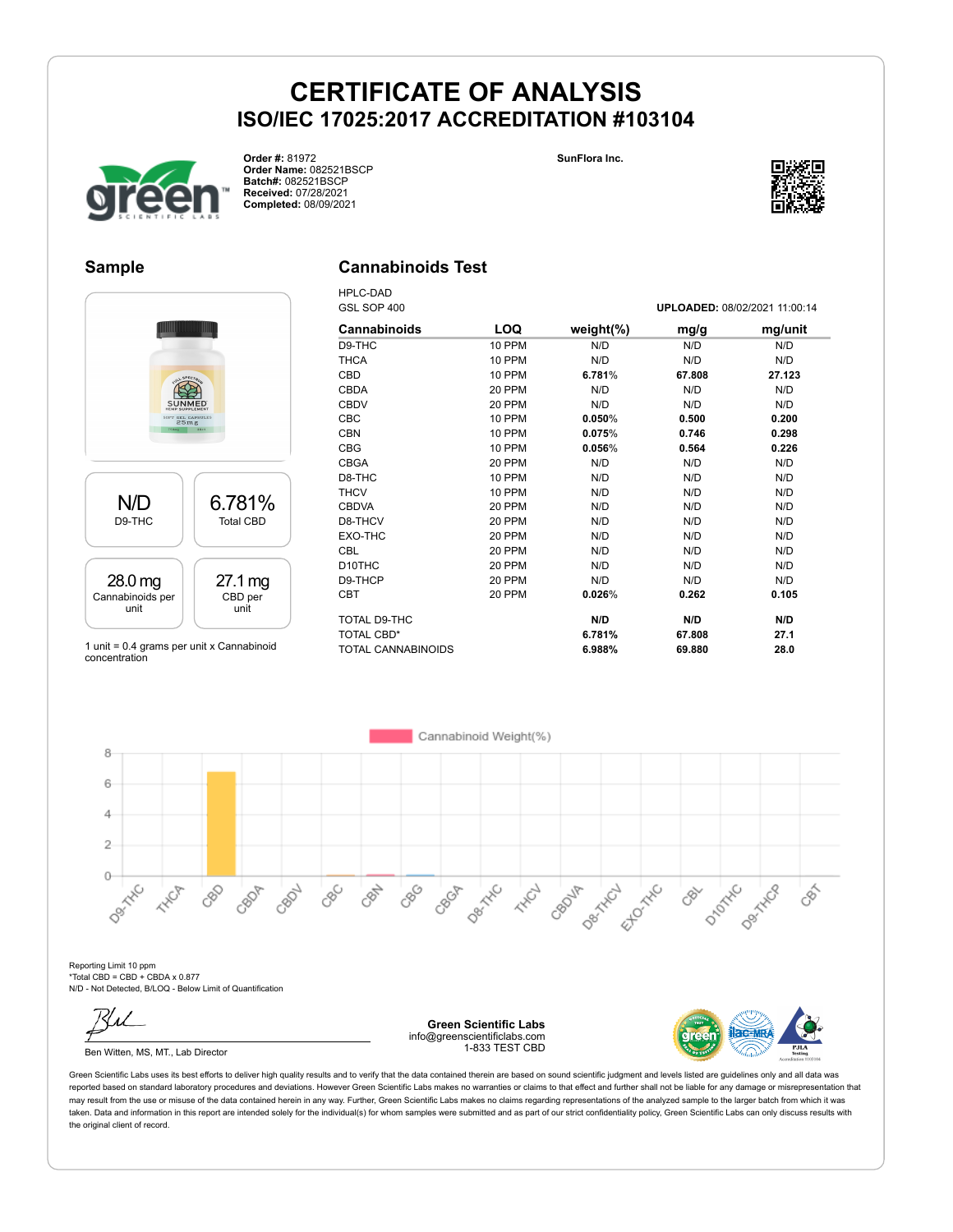**SunFlora Inc.**



**Order #:** 81972 **Order Name:** 082521BSCP **Batch#:** 082521BSCP **Received:** 07/28/2021 **Completed:** 08/09/2021

### **Sample**

### **Cannabinoids Test**

HPLC-DAD



1 unit = 0.4 grams per unit x Cannabinoid concentration

| GSL SOP 400         |        | UPLOADED: 08/02/2021 11:00:14 |        |         |  |
|---------------------|--------|-------------------------------|--------|---------|--|
| <b>Cannabinoids</b> | LOQ    | weight $(\%)$                 | mg/g   | mg/unit |  |
| D9-THC              | 10 PPM | N/D                           | N/D    | N/D     |  |
| <b>THCA</b>         | 10 PPM | N/D                           | N/D    | N/D     |  |
| CBD                 | 10 PPM | 6.781%                        | 67.808 | 27.123  |  |
| <b>CBDA</b>         | 20 PPM | N/D                           | N/D    | N/D     |  |
| <b>CBDV</b>         | 20 PPM | N/D                           | N/D    | N/D     |  |
| CBC                 | 10 PPM | 0.050%                        | 0.500  | 0.200   |  |
| <b>CBN</b>          | 10 PPM | 0.075%                        | 0.746  | 0.298   |  |
| <b>CBG</b>          | 10 PPM | $0.056\%$                     | 0.564  | 0.226   |  |
| <b>CBGA</b>         | 20 PPM | N/D                           | N/D    | N/D     |  |
| D8-THC              | 10 PPM | N/D                           | N/D    | N/D     |  |
| <b>THCV</b>         | 10 PPM | N/D                           | N/D    | N/D     |  |
| <b>CBDVA</b>        | 20 PPM | N/D                           | N/D    | N/D     |  |
| D8-THCV             | 20 PPM | N/D                           | N/D    | N/D     |  |
| EXO-THC             | 20 PPM | N/D                           | N/D    | N/D     |  |
| CBL                 | 20 PPM | N/D                           | N/D    | N/D     |  |
| D <sub>10</sub> THC | 20 PPM | N/D                           | N/D    | N/D     |  |
| D9-THCP             | 20 PPM | N/D                           | N/D    | N/D     |  |
| <b>CBT</b>          | 20 PPM | 0.026%                        | 0.262  | 0.105   |  |
| TOTAL D9-THC        |        | N/D                           | N/D    | N/D     |  |
| <b>TOTAL CBD*</b>   |        | 6.781%                        | 67.808 | 27.1    |  |
| TOTAL CANNABINOIDS  |        | 6.988%                        | 69.880 | 28.0    |  |

6 4  $\overline{2}$ Dec Tric  $\circ$ D<sub>ROTATIC</sub> Decimental Desitive **Desired** CBC CRAN CBG CBOJA Ellowski CBOP CBON CBGA **ANCL HAVER** 88  $\mathcal{S}^{\sim}$ 

Reporting Limit 10 ppm \*Total CBD = CBD + CBDA x 0.877 N/D - Not Detected, B/LOQ - Below Limit of Quantification

8

Ben Witten, MS, MT., Lab Director

**Green Scientific Labs** info@greenscientificlabs.com 1-833 TEST CBD

Cannabinoid Weight(%)



 $\delta$ 

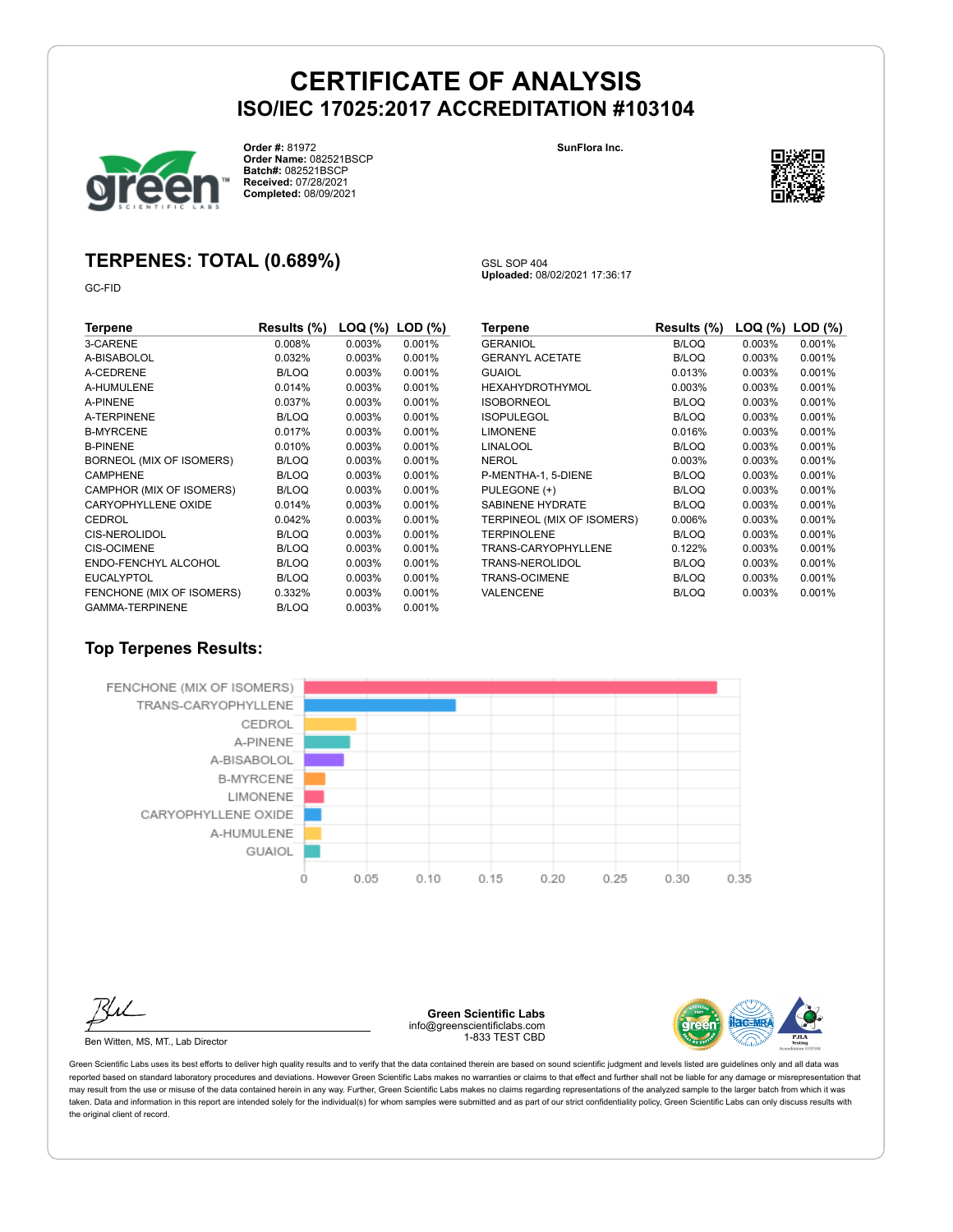GSL SOP 404

**Uploaded:** 08/02/2021 17:36:17



**Order #:** 81972 **Order Name:** 082521BSCP **Batch#:** 082521BSCP **Received:** 07/28/2021 **Completed:** 08/09/2021

**SunFlora Inc.**



### **TERPENES: TOTAL (0.689%)**

GC-FID

| Terpene                   | Results (%)  |           | $\textsf{LOQ}$ (%) $\textsf{LOD}$ (%) |
|---------------------------|--------------|-----------|---------------------------------------|
| 3-CARENE                  | 0.008%       | 0.003%    | 0.001%                                |
| A-BISABOLOL               | 0.032%       | 0.003%    | 0.001%                                |
| A-CEDRENE                 | <b>B/LOQ</b> | 0.003%    | 0.001%                                |
| A-HUMULENE                | 0.014%       | 0.003%    | 0.001%                                |
| <b>A-PINENE</b>           | 0.037%       | 0.003%    | 0.001%                                |
| <b>A-TERPINENE</b>        | <b>B/LOQ</b> | 0.003%    | 0.001%                                |
| <b>B-MYRCENE</b>          | 0.017%       | $0.003\%$ | 0.001%                                |
| <b>B-PINENE</b>           | 0.010%       | 0.003%    | 0.001%                                |
| BORNEOL (MIX OF ISOMERS)  | B/LOQ        | 0.003%    | 0.001%                                |
| <b>CAMPHENE</b>           | B/LOQ        | 0.003%    | 0.001%                                |
| CAMPHOR (MIX OF ISOMERS)  | B/LOQ        | 0.003%    | 0.001%                                |
| CARYOPHYLLENE OXIDE       | 0.014%       | 0.003%    | 0.001%                                |
| CEDROL                    | 0.042%       | 0.003%    | 0.001%                                |
| <b>CIS-NEROLIDOL</b>      | B/LOQ        | 0.003%    | 0.001%                                |
| <b>CIS-OCIMENE</b>        | B/LOQ        | $0.003\%$ | 0.001%                                |
| ENDO-FENCHYL ALCOHOL      | B/LOQ        | 0.003%    | 0.001%                                |
| <b>EUCALYPTOL</b>         | B/LOQ        | 0.003%    | 0.001%                                |
| FENCHONE (MIX OF ISOMERS) | 0.332%       | 0.003%    | 0.001%                                |
| <b>GAMMA-TERPINENE</b>    | B/LOQ        | 0.003%    | 0.001%                                |

| Terpene                    | Results (%)  | LOQ (%) | LOD (%) |
|----------------------------|--------------|---------|---------|
| <b>GERANIOL</b>            | <b>B/LOQ</b> | 0.003%  | 0.001%  |
| <b>GERANYL ACETATE</b>     | <b>B/LOQ</b> | 0.003%  | 0.001%  |
| <b>GUAIOL</b>              | 0.013%       | 0.003%  | 0.001%  |
| HEXAHYDROTHYMOL            | 0.003%       | 0.003%  | 0.001%  |
| <b>ISOBORNEOL</b>          | <b>B/LOQ</b> | 0.003%  | 0.001%  |
| <b>ISOPULEGOL</b>          | <b>B/LOQ</b> | 0.003%  | 0.001%  |
| <b>LIMONENE</b>            | 0.016%       | 0.003%  | 0.001%  |
| LINALOOL                   | <b>B/LOQ</b> | 0.003%  | 0.001%  |
| NEROL                      | 0.003%       | 0.003%  | 0.001%  |
| P-MENTHA-1, 5-DIENE        | <b>B/LOQ</b> | 0.003%  | 0.001%  |
| PULEGONE (+)               | <b>B/LOQ</b> | 0.003%  | 0.001%  |
| <b>SABINENE HYDRATE</b>    | <b>B/LOQ</b> | 0.003%  | 0.001%  |
| TERPINEOL (MIX OF ISOMERS) | 0.006%       | 0.003%  | 0.001%  |
| <b>TERPINOLENE</b>         | <b>B/LOQ</b> | 0.003%  | 0.001%  |
| TRANS-CARYOPHYLLENE        | 0.122%       | 0.003%  | 0.001%  |
| TRANS-NEROLIDOL            | <b>B/LOQ</b> | 0.003%  | 0.001%  |
| TRANS-OCIMENE              | <b>B/LOQ</b> | 0.003%  | 0.001%  |
| VALENCENE                  | <b>B/LOQ</b> | 0.003%  | 0.001%  |

### **Top Terpenes Results:**





Ben Witten, MS, MT., Lab Director

**Green Scientific Labs** info@greenscientificlabs.com 1-833 TEST CBD

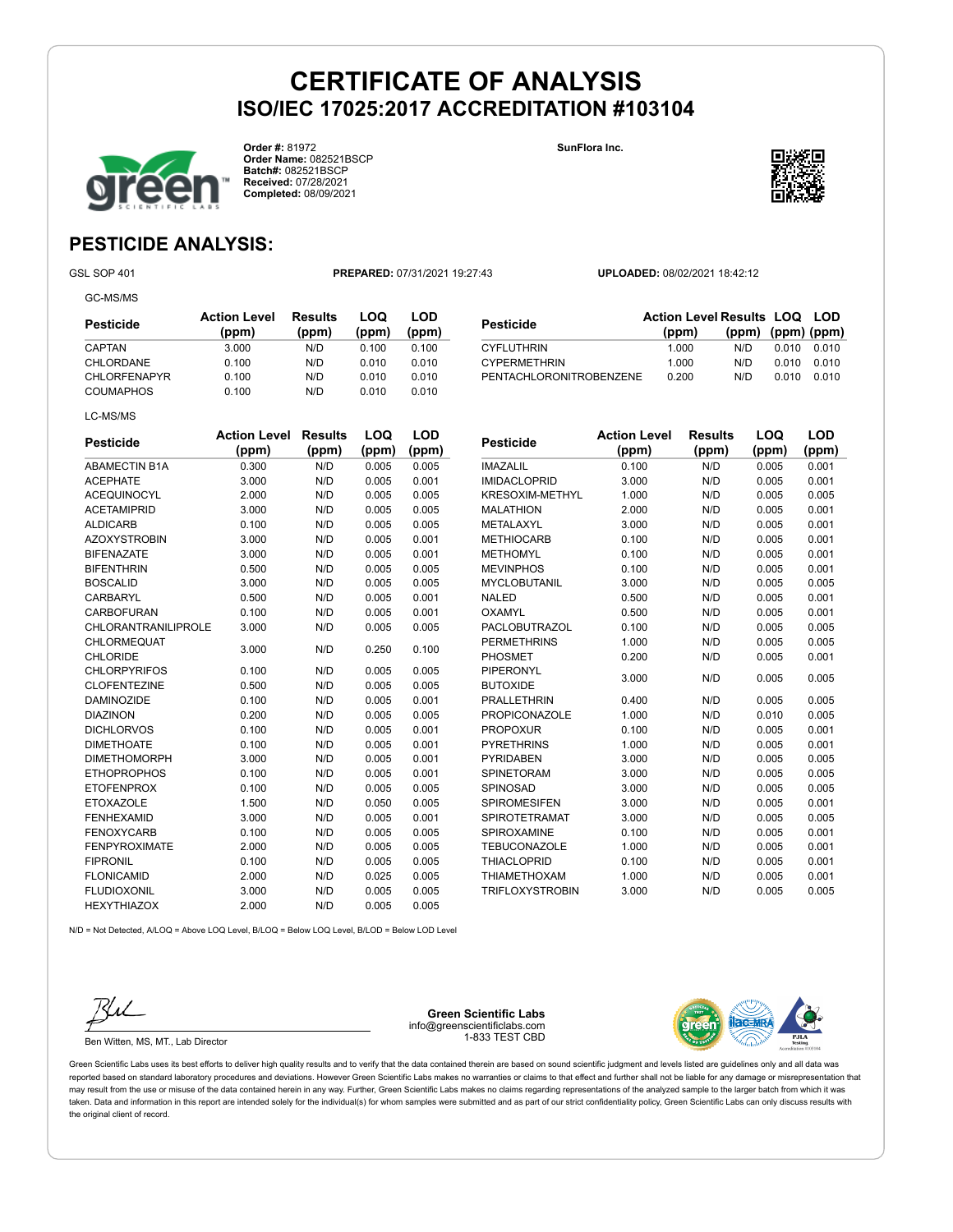**Order #:** 81972 **Order Name:** 082521BSCP **Batch#:** 082521BSCP **Received:** 07/28/2021 **Completed:** 08/09/2021

**SunFlora Inc.**

CYPERMETHRIN 1.000



**(ppm) (ppm) (ppm)**

### **PESTICIDE ANALYSIS:**

GC-MS/MS

GSL SOP 401 **PREPARED:** 07/31/2021 19:27:43 **UPLOADED:** 08/02/2021 18:42:12

**Pesticide Action Level Results LOQ LOD (ppm)**

THE CYFLUTHRIN 1.000 N/D 0.010 0.010<br>
CYPERMETHRIN 1.000 N/D 0.010 0.010

PENTACHLORONITROBENZENE 0.200 N/D 0.010 0.010

| Pesticide           | <b>Action Level</b><br>(ppm) | Results<br>(ppm) | LOQ<br>(ppm) | LOD<br>(ppm) |
|---------------------|------------------------------|------------------|--------------|--------------|
| <b>CAPTAN</b>       | 3.000                        | N/D              | 0.100        | 0.100        |
| CHLORDANE           | 0.100                        | N/D              | 0.010        | 0.010        |
| <b>CHLORFENAPYR</b> | 0.100                        | N/D              | 0.010        | 0.010        |
| <b>COUMAPHOS</b>    | 0.100                        | N/D              | 0.010        | 0.010        |
| LC-MS/MS            |                              |                  |              |              |

| <b>Pesticide</b>           | <b>Action Level</b> | <b>Results</b> | LOQ   | LOD   |
|----------------------------|---------------------|----------------|-------|-------|
|                            | (ppm)               | (ppm)          | (ppm) | (ppm) |
| <b>ABAMECTIN B1A</b>       | 0.300               | N/D            | 0.005 | 0.005 |
| <b>ACEPHATE</b>            | 3.000               | N/D            | 0.005 | 0.001 |
| <b>ACEQUINOCYL</b>         | 2.000               | N/D            | 0.005 | 0.005 |
| <b>ACETAMIPRID</b>         | 3.000               | N/D            | 0.005 | 0.005 |
| <b>ALDICARB</b>            | 0.100               | N/D            | 0.005 | 0.005 |
| <b>AZOXYSTROBIN</b>        | 3.000               | N/D            | 0.005 | 0.001 |
| <b>BIFENAZATE</b>          | 3.000               | N/D            | 0.005 | 0.001 |
| <b>BIFENTHRIN</b>          | 0.500               | N/D            | 0.005 | 0.005 |
| <b>BOSCALID</b>            | 3.000               | N/D            | 0.005 | 0.005 |
| CARBARYL                   | 0.500               | N/D            | 0.005 | 0.001 |
| <b>CARBOFURAN</b>          | 0.100               | N/D            | 0.005 | 0.001 |
| <b>CHLORANTRANILIPROLE</b> | 3.000               | N/D            | 0.005 | 0.005 |
| <b>CHLORMEQUAT</b>         |                     | N/D            |       | 0.100 |
| <b>CHLORIDE</b>            | 3.000               |                | 0.250 |       |
| <b>CHLORPYRIFOS</b>        | 0.100               | N/D            | 0.005 | 0.005 |
| <b>CLOFENTEZINE</b>        | 0.500               | N/D            | 0.005 | 0.005 |
| <b>DAMINOZIDE</b>          | 0.100               | N/D            | 0.005 | 0.001 |
| <b>DIAZINON</b>            | 0.200               | N/D            | 0.005 | 0.005 |
| <b>DICHLORVOS</b>          | 0.100               | N/D            | 0.005 | 0.001 |
| <b>DIMETHOATE</b>          | 0.100               | N/D            | 0.005 | 0.001 |
| <b>DIMETHOMORPH</b>        | 3.000               | N/D            | 0.005 | 0.001 |
| <b>ETHOPROPHOS</b>         | 0.100               | N/D            | 0.005 | 0.001 |
| <b>ETOFENPROX</b>          | 0.100               | N/D            | 0.005 | 0.005 |
| <b>ETOXAZOLE</b>           | 1.500               | N/D            | 0.050 | 0.005 |
| <b>FENHEXAMID</b>          | 3.000               | N/D            | 0.005 | 0.001 |
| <b>FENOXYCARB</b>          | 0.100               | N/D            | 0.005 | 0.005 |
| <b>FENPYROXIMATE</b>       | 2.000               | N/D            | 0.005 | 0.005 |
| <b>FIPRONIL</b>            | 0.100               | N/D            | 0.005 | 0.005 |
| <b>FLONICAMID</b>          | 2.000               | N/D            | 0.025 | 0.005 |
| <b>FLUDIOXONIL</b>         | 3.000               | N/D            | 0.005 | 0.005 |
| <b>HEXYTHIAZOX</b>         | 2.000               | N/D            | 0.005 | 0.005 |

| <b>Pesticide</b>       | <b>Action Level</b><br>(ppm) | Results<br>(ppm) | LOQ<br>(ppm) | LOD<br>(ppm) |
|------------------------|------------------------------|------------------|--------------|--------------|
| <b>IMAZALIL</b>        | 0.100                        | N/D              | 0.005        | 0.001        |
| <b>IMIDACLOPRID</b>    | 3.000                        | N/D              | 0.005        | 0.001        |
| <b>KRESOXIM-METHYL</b> | 1.000                        | N/D              | 0.005        | 0.005        |
| <b>MALATHION</b>       | 2.000                        | N/D              | 0.005        | 0.001        |
| METALAXYL              | 3.000                        | N/D              | 0.005        | 0.001        |
| <b>METHIOCARB</b>      | 0.100                        | N/D              | 0.005        | 0.001        |
| <b>METHOMYL</b>        | 0.100                        | N/D              | 0.005        | 0.001        |
| <b>MEVINPHOS</b>       | 0.100                        | N/D              | 0.005        | 0.001        |
| <b>MYCLOBUTANIL</b>    | 3.000                        | N/D              | 0.005        | 0.005        |
| <b>NALED</b>           | 0.500                        | N/D              | 0.005        | 0.001        |
| OXAMYL                 | 0.500                        | N/D              | 0.005        | 0.001        |
| PACLOBUTRAZOL          | 0.100                        | N/D              | 0.005        | 0.005        |
| <b>PERMETHRINS</b>     | 1.000                        | N/D              | 0.005        | 0.005        |
| <b>PHOSMET</b>         | 0.200                        | N/D              | 0.005        | 0.001        |
| PIPERONYL              | 3.000                        | N/D              | 0.005        | 0.005        |
| <b>BUTOXIDE</b>        |                              |                  |              |              |
| <b>PRALLETHRIN</b>     | 0.400                        | N/D              | 0.005        | 0.005        |
| <b>PROPICONAZOLE</b>   | 1.000                        | N/D              | 0.010        | 0.005        |
| <b>PROPOXUR</b>        | 0.100                        | N/D              | 0.005        | 0.001        |
| <b>PYRETHRINS</b>      | 1.000                        | N/D              | 0.005        | 0.001        |
| <b>PYRIDABEN</b>       | 3.000                        | N/D              | 0.005        | 0.005        |
| <b>SPINETORAM</b>      | 3.000                        | N/D              | 0.005        | 0.005        |
| SPINOSAD               | 3.000                        | N/D              | 0.005        | 0.005        |
| <b>SPIROMESIFEN</b>    | 3.000                        | N/D              | 0.005        | 0.001        |
| <b>SPIROTETRAMAT</b>   | 3.000                        | N/D              | 0.005        | 0.005        |
| SPIROXAMINE            | 0.100                        | N/D              | 0.005        | 0.001        |
| TEBUCONAZOLE           | 1.000                        | N/D              | 0.005        | 0.001        |
| <b>THIACLOPRID</b>     | 0.100                        | N/D              | 0.005        | 0.001        |
| <b>THIAMETHOXAM</b>    | 1.000                        | N/D              | 0.005        | 0.001        |
| <b>TRIFLOXYSTROBIN</b> | 3.000                        | N/D              | 0.005        | 0.005        |

N/D = Not Detected, A/LOQ = Above LOQ Level, B/LOQ = Below LOQ Level, B/LOD = Below LOD Level



Ben Witten, MS, MT., Lab Director

**Green Scientific Labs** info@greenscientificlabs.com 1-833 TEST CBD

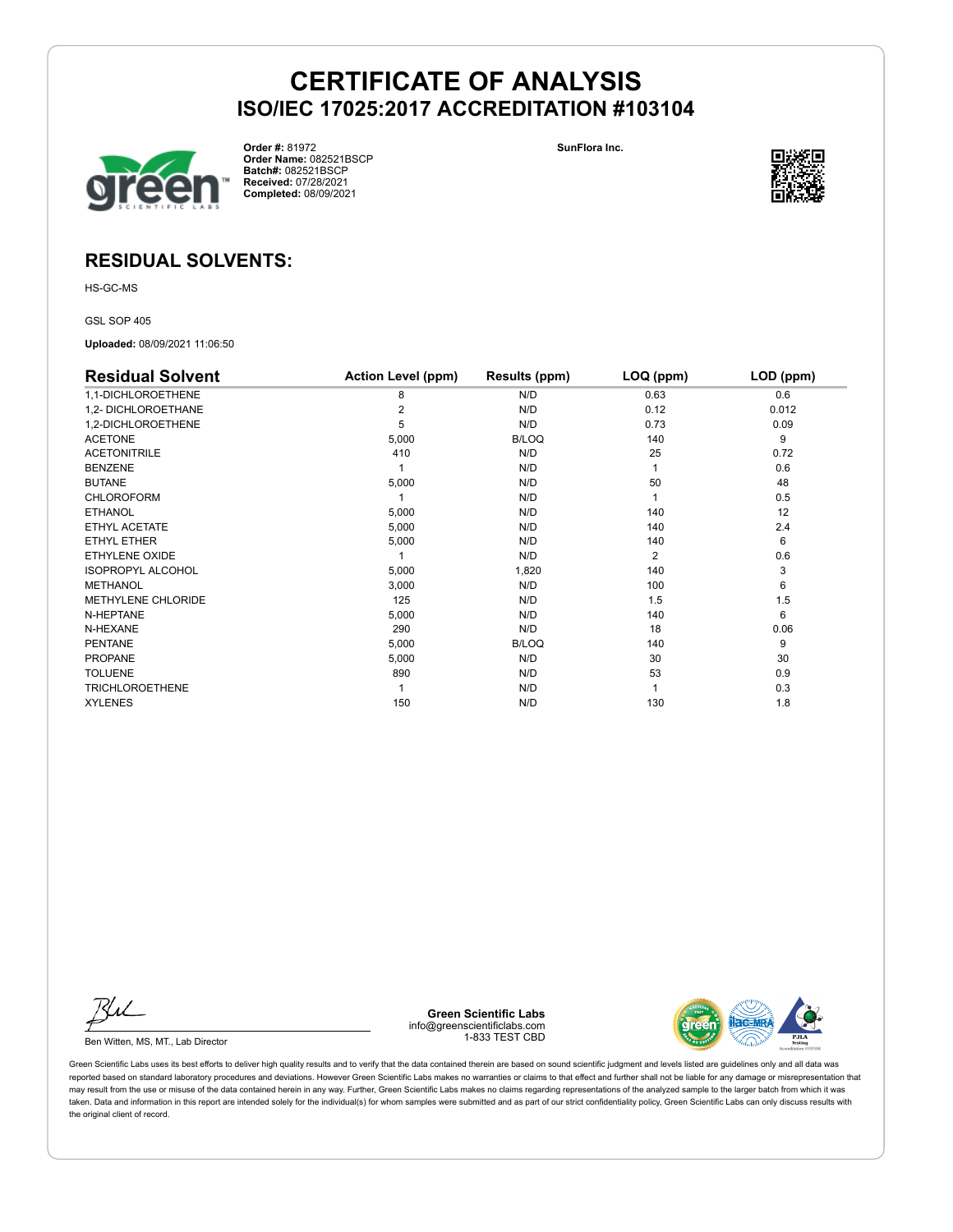

**Order #:** 81972 **Order Name:** 082521BSCP **Batch#:** 082521BSCP **Received:** 07/28/2021 **Completed:** 08/09/2021

**SunFlora Inc.**



### **RESIDUAL SOLVENTS:**

HS-GC-MS

GSL SOP 405

**Uploaded:** 08/09/2021 11:06:50

| <b>Residual Solvent</b>  | <b>Action Level (ppm)</b> | Results (ppm) | LOQ (ppm) | LOD (ppm) |
|--------------------------|---------------------------|---------------|-----------|-----------|
| 1,1-DICHLOROETHENE       | 8                         | N/D           | 0.63      | 0.6       |
| 1,2- DICHLOROETHANE      | 2                         | N/D           | 0.12      | 0.012     |
| 1,2-DICHLOROETHENE       | 5                         | N/D           | 0.73      | 0.09      |
| <b>ACETONE</b>           | 5,000                     | <b>B/LOQ</b>  | 140       | 9         |
| <b>ACETONITRILE</b>      | 410                       | N/D           | 25        | 0.72      |
| <b>BENZENE</b>           |                           | N/D           |           | 0.6       |
| <b>BUTANE</b>            | 5,000                     | N/D           | 50        | 48        |
| <b>CHLOROFORM</b>        |                           | N/D           |           | 0.5       |
| <b>ETHANOL</b>           | 5,000                     | N/D           | 140       | 12        |
| ETHYL ACETATE            | 5,000                     | N/D           | 140       | 2.4       |
| <b>ETHYL ETHER</b>       | 5,000                     | N/D           | 140       | 6         |
| ETHYLENE OXIDE           |                           | N/D           | 2         | 0.6       |
| <b>ISOPROPYL ALCOHOL</b> | 5,000                     | 1,820         | 140       | 3         |
| <b>METHANOL</b>          | 3,000                     | N/D           | 100       | 6         |
| METHYLENE CHLORIDE       | 125                       | N/D           | 1.5       | 1.5       |
| N-HEPTANE                | 5,000                     | N/D           | 140       | 6         |
| N-HEXANE                 | 290                       | N/D           | 18        | 0.06      |
| <b>PENTANE</b>           | 5,000                     | <b>B/LOQ</b>  | 140       | 9         |
| <b>PROPANE</b>           | 5,000                     | N/D           | 30        | 30        |
| <b>TOLUENE</b>           | 890                       | N/D           | 53        | 0.9       |
| <b>TRICHLOROETHENE</b>   |                           | N/D           |           | 0.3       |
| <b>XYLENES</b>           | 150                       | N/D           | 130       | 1.8       |

Ku

Ben Witten, MS, MT., Lab Director

**Green Scientific Labs** info@greenscientificlabs.com 1-833 TEST CBD

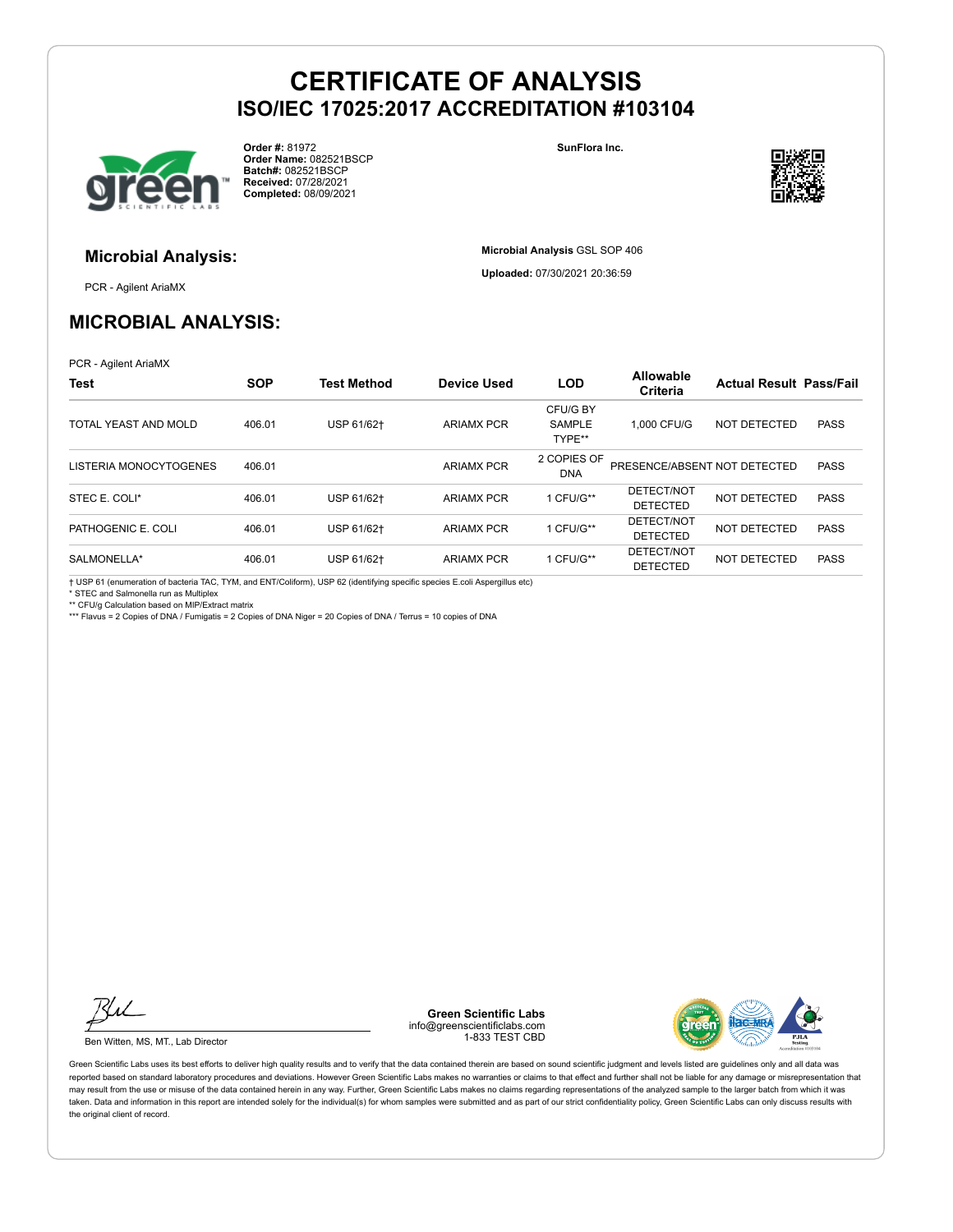

**Order #:** 81972 **Order Name:** 082521BSCP **Batch#:** 082521BSCP **Received:** 07/28/2021 **Completed:** 08/09/2021

**SunFlora Inc.**

**Microbial Analysis** GSL SOP 406 **Uploaded:** 07/30/2021 20:36:59



# **Microbial Analysis:**

PCR - Agilent AriaMX

### **MICROBIAL ANALYSIS:**

PCR - Agilent AriaMX

| Test                   | <b>SOP</b> | <b>Test Method</b> | <b>Device Used</b> | <b>LOD</b>      | Allowable<br><b>Criteria</b> | <b>Actual Result Pass/Fail</b> |             |
|------------------------|------------|--------------------|--------------------|-----------------|------------------------------|--------------------------------|-------------|
|                        |            |                    |                    | CFU/G BY        |                              |                                |             |
| TOTAL YEAST AND MOLD   | 406.01     | USP 61/62+         | <b>ARIAMX PCR</b>  | <b>SAMPLE</b>   | 1.000 CFU/G                  | NOT DETECTED                   | <b>PASS</b> |
|                        |            |                    |                    | TYPE**          |                              |                                |             |
|                        |            |                    |                    | 2 COPIES OF     |                              |                                |             |
| LISTERIA MONOCYTOGENES | 406.01     |                    | <b>ARIAMX PCR</b>  | DNA             | PRESENCE/ABSENT NOT DETECTED |                                | <b>PASS</b> |
| STEC E. COLI*          | 406.01     | USP 61/62+         | <b>ARIAMX PCR</b>  | 1 CFU/G**       | DETECT/NOT                   | NOT DETECTED                   | <b>PASS</b> |
|                        |            |                    |                    | <b>DETECTED</b> |                              |                                |             |
| PATHOGENIC E. COLI     | 406.01     | USP 61/62+         | <b>ARIAMX PCR</b>  | 1 CFU/G**       | DETECT/NOT                   | NOT DETECTED                   | <b>PASS</b> |
|                        |            |                    |                    |                 | <b>DETECTED</b>              |                                |             |
| SALMONELLA*            | 406.01     | USP 61/62+         | <b>ARIAMX PCR</b>  | 1 CFU/G**       | DETECT/NOT                   | NOT DETECTED                   | <b>PASS</b> |
|                        |            |                    |                    |                 | <b>DETECTED</b>              |                                |             |

† USP 61 (enumeration of bacteria TAC, TYM, and ENT/Coliform), USP 62 (identifying specific species E.coli Aspergillus etc)

\* STEC and Salmonella run as Multiplex

\*\* CFU/g Calculation based on MIP/Extract matrix

\*\*\* Flavus = 2 Copies of DNA / Fumigatis = 2 Copies of DNA Niger = 20 Copies of DNA / Terrus = 10 copies of DNA

Ku

Ben Witten, MS, MT., Lab Director

**Green Scientific Labs** info@greenscientificlabs.com 1-833 TEST CBD